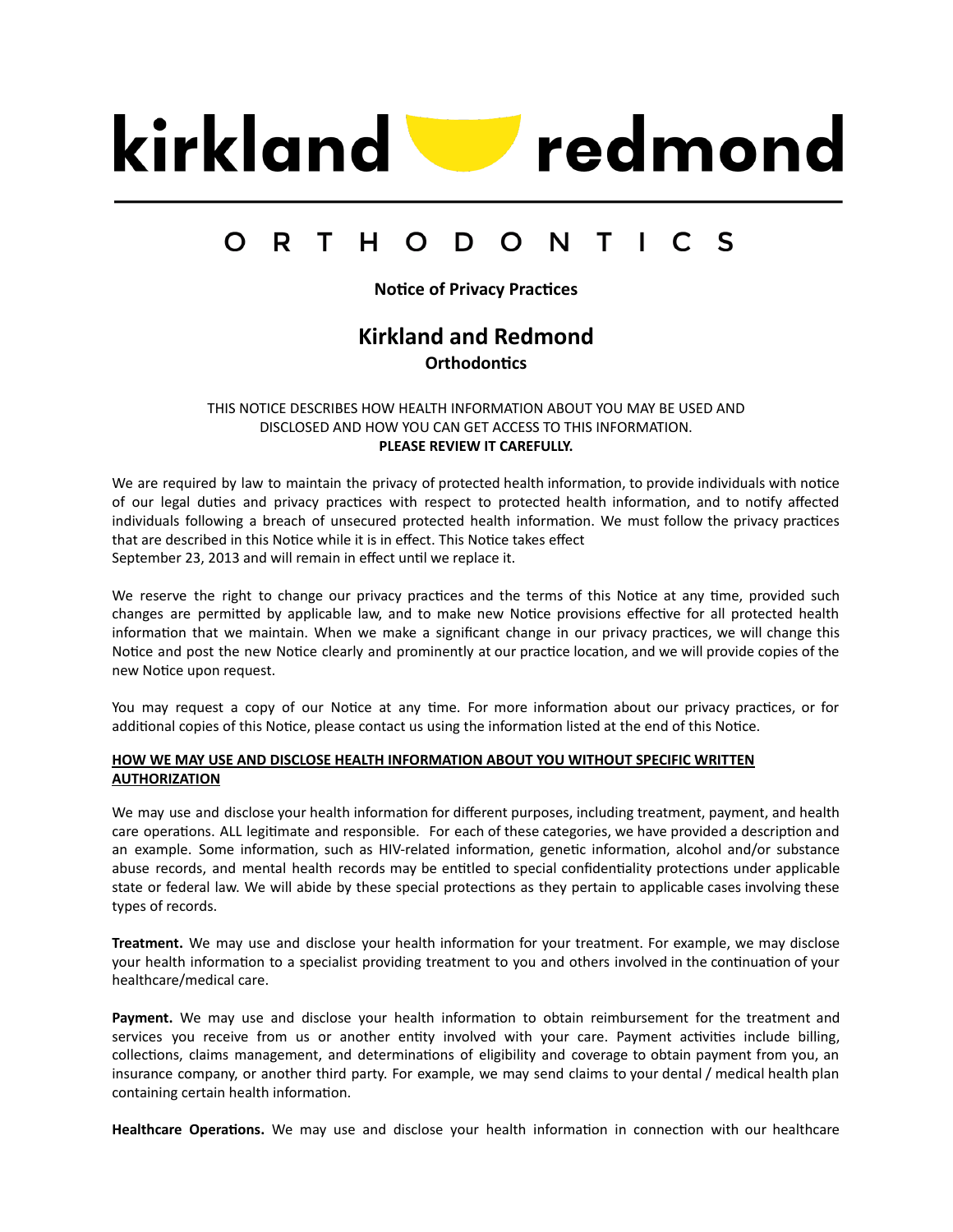

#### $\Omega$ R T. H. O D  $\mathbf O$ **N** Τ  $\mathsf{S}$

**Notice of Privacy Practices** 

# **Kirkland and Redmond Orthodontics**

THIS NOTICE DESCRIBES HOW HEALTH INFORMATION ABOUT YOU MAY BE USED AND DISCLOSED AND HOW YOU CAN GET ACCESS TO THIS INFORMATION. **PLEASE REVIEW IT CAREFULLY.**

We are required by law to maintain the privacy of protected health information, to provide individuals with notice of our legal duties and privacy practices with respect to protected health information, and to notify affected individuals following a breach of unsecured protected health information. We must follow the privacy practices that are described in this Notice while it is in effect. This Notice takes effect September 23, 2013 and will remain in effect until we replace it.

We reserve the right to change our privacy practices and the terms of this Notice at any time, provided such changes are permitted by applicable law, and to make new Notice provisions effective for all protected health information that we maintain. When we make a significant change in our privacy practices, we will change this Notice and post the new Notice clearly and prominently at our practice location, and we will provide copies of the new Notice upon request.

You may request a copy of our Notice at any time. For more information about our privacy practices, or for additional copies of this Notice, please contact us using the information listed at the end of this Notice.

## **HOW WE MAY USE AND DISCLOSE HEALTH INFORMATION ABOUT YOU WITHOUT SPECIFIC WRITTEN AUTHORIZATION**

We may use and disclose your health information for different purposes, including treatment, payment, and health care operations. ALL legitimate and responsible. For each of these categories, we have provided a description and an example. Some information, such as HIV-related information, genetic information, alcohol and/or substance abuse records, and mental health records may be entitled to special confidentiality protections under applicable state or federal law. We will abide by these special protections as they pertain to applicable cases involving these types of records.

**Treatment.** We may use and disclose your health information for your treatment. For example, we may disclose your health information to a specialist providing treatment to you and others involved in the continuation of your healthcare/medical care.

Payment. We may use and disclose your health information to obtain reimbursement for the treatment and services you receive from us or another entity involved with your care. Payment activities include billing, collections, claims management, and determinations of eligibility and coverage to obtain payment from you, an insurance company, or another third party. For example, we may send claims to your dental / medical health plan containing certain health information.

Healthcare Operations. We may use and disclose your health information in connection with our healthcare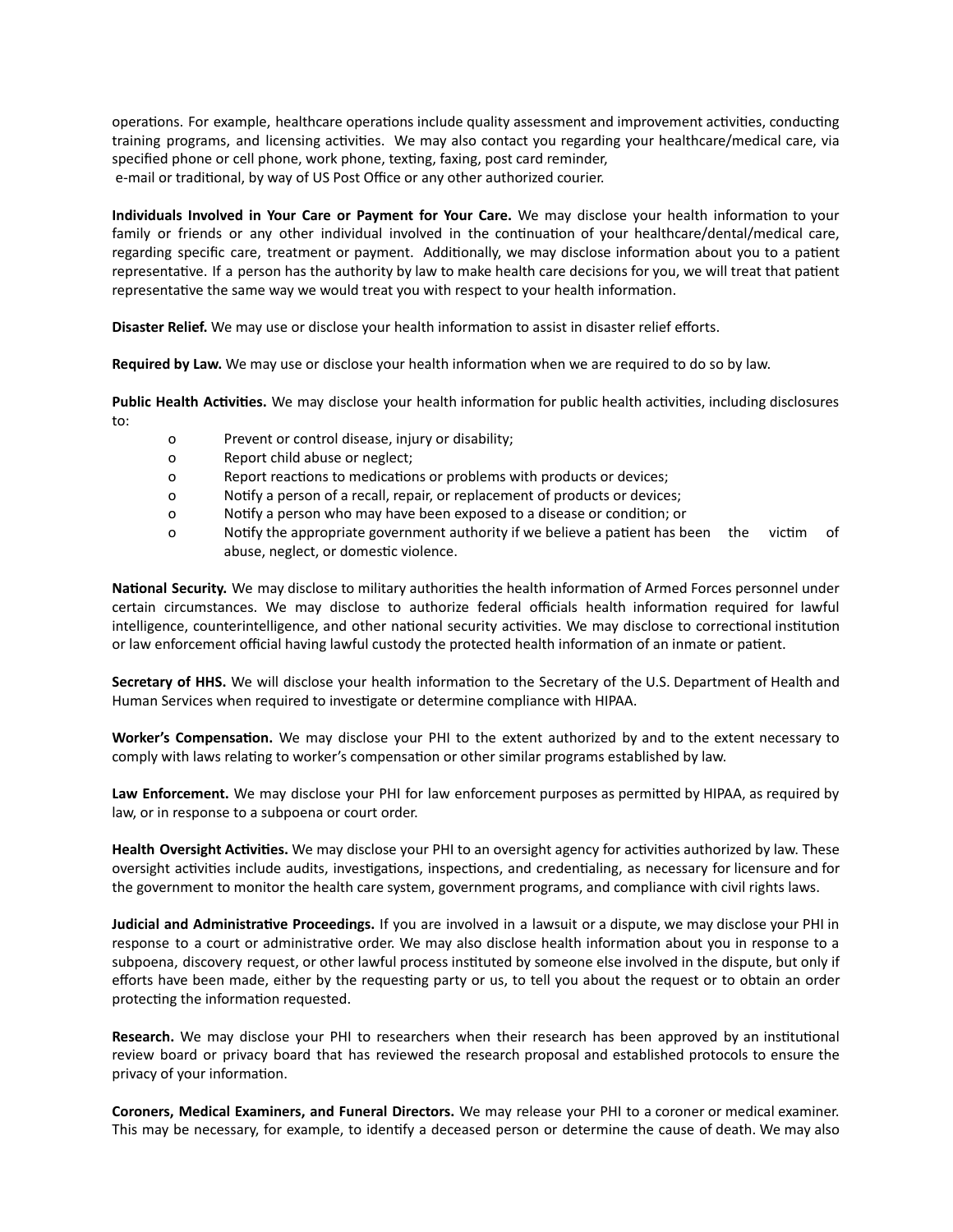operations. For example, healthcare operations include quality assessment and improvement activities, conducting training programs, and licensing activities. We may also contact you regarding your healthcare/medical care, via specified phone or cell phone, work phone, texting, faxing, post card reminder, e-mail or traditional, by way of US Post Office or any other authorized courier.

**Individuals Involved in Your Care or Payment for Your Care. We may disclose your health information to your** family or friends or any other individual involved in the continuation of your healthcare/dental/medical care, regarding specific care, treatment or payment. Additionally, we may disclose information about you to a patient representative. If a person has the authority by law to make health care decisions for you, we will treat that patient representative the same way we would treat you with respect to your health information.

**Disaster Relief.** We may use or disclose your health information to assist in disaster relief efforts.

**Required by Law.** We may use or disclose your health information when we are required to do so by law.

**Public Health Activities.** We may disclose your health information for public health activities, including disclosures to:

- o Prevent or control disease, injury or disability;
- o Report child abuse or neglect;
- o Report reactions to medications or problems with products or devices;
- o Notify a person of a recall, repair, or replacement of products or devices;
- o Notify a person who may have been exposed to a disease or condition; or
- o Notify the appropriate government authority if we believe a patient has been the victim of abuse, neglect, or domestic violence.

National Security. We may disclose to military authorities the health information of Armed Forces personnel under certain circumstances. We may disclose to authorize federal officials health information required for lawful intelligence, counterintelligence, and other national security activities. We may disclose to correctional institution or law enforcement official having lawful custody the protected health information of an inmate or patient.

**Secretary of HHS.** We will disclose your health information to the Secretary of the U.S. Department of Health and Human Services when required to investigate or determine compliance with HIPAA.

**Worker's Compensation.** We may disclose your PHI to the extent authorized by and to the extent necessary to comply with laws relating to worker's compensation or other similar programs established by law.

Law **Enforcement.** We may disclose your PHI for law enforcement purposes as permitted by HIPAA, as required by law, or in response to a subpoena or court order.

Health Oversight Activities. We may disclose your PHI to an oversight agency for activities authorized by law. These oversight activities include audits, investigations, inspections, and credentialing, as necessary for licensure and for the government to monitor the health care system, government programs, and compliance with civil rights laws.

**Judicial and Administrative Proceedings.** If you are involved in a lawsuit or a dispute, we may disclose your PHI in response to a court or administrative order. We may also disclose health information about you in response to a subpoena, discovery request, or other lawful process instituted by someone else involved in the dispute, but only if efforts have been made, either by the requesting party or us, to tell you about the request or to obtain an order protecting the information requested.

**Research.** We may disclose your PHI to researchers when their research has been approved by an institutional review board or privacy board that has reviewed the research proposal and established protocols to ensure the privacy of your information.

**Coroners, Medical Examiners, and Funeral Directors.** We may release your PHI to a coroner or medical examiner. This may be necessary, for example, to identify a deceased person or determine the cause of death. We may also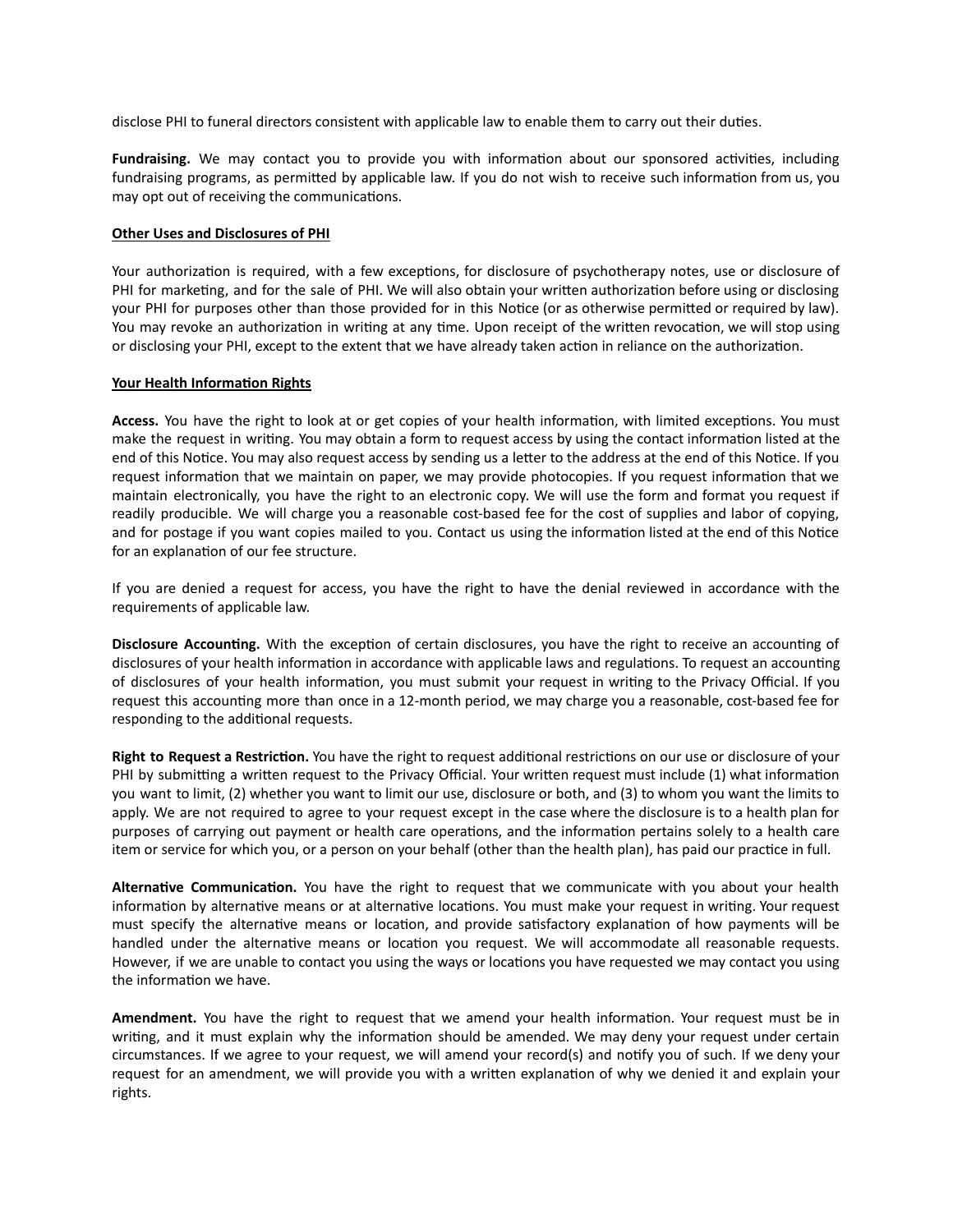disclose PHI to funeral directors consistent with applicable law to enable them to carry out their duties.

**Fundraising.** We may contact you to provide you with information about our sponsored activities, including fundraising programs, as permitted by applicable law. If you do not wish to receive such information from us, you may opt out of receiving the communications.

### **Other Uses and Disclosures of PHI**

Your authorization is required, with a few exceptions, for disclosure of psychotherapy notes, use or disclosure of PHI for marketing, and for the sale of PHI. We will also obtain your written authorization before using or disclosing your PHI for purposes other than those provided for in this Notice (or as otherwise permitted or required by law). You may revoke an authorization in writing at any time. Upon receipt of the written revocation, we will stop using or disclosing your PHI, except to the extent that we have already taken action in reliance on the authorization.

#### **Your Health Information Rights**

Access. You have the right to look at or get copies of your health information, with limited exceptions. You must make the request in writing. You may obtain a form to request access by using the contact information listed at the end of this Notice. You may also request access by sending us a letter to the address at the end of this Notice. If you request information that we maintain on paper, we may provide photocopies. If you request information that we maintain electronically, you have the right to an electronic copy. We will use the form and format you request if readily producible. We will charge you a reasonable cost-based fee for the cost of supplies and labor of copying, and for postage if you want copies mailed to you. Contact us using the information listed at the end of this Notice for an explanation of our fee structure.

If you are denied a request for access, you have the right to have the denial reviewed in accordance with the requirements of applicable law.

**Disclosure Accounting.** With the exception of certain disclosures, you have the right to receive an accounting of disclosures of your health information in accordance with applicable laws and regulations. To request an accounting of disclosures of your health information, you must submit your request in writing to the Privacy Official. If you request this accounting more than once in a 12-month period, we may charge you a reasonable, cost-based fee for responding to the additional requests.

Right to Request a Restriction. You have the right to request additional restrictions on our use or disclosure of your PHI by submitting a written request to the Privacy Official. Your written request must include (1) what information you want to limit, (2) whether you want to limit our use, disclosure or both, and (3) to whom you want the limits to apply. We are not required to agree to your request except in the case where the disclosure is to a health plan for purposes of carrying out payment or health care operations, and the information pertains solely to a health care item or service for which you, or a person on your behalf (other than the health plan), has paid our practice in full.

Alternative Communication. You have the right to request that we communicate with you about your health information by alternative means or at alternative locations. You must make your request in writing. Your request must specify the alternative means or location, and provide satisfactory explanation of how payments will be handled under the alternative means or location you request. We will accommodate all reasonable requests. However, if we are unable to contact you using the ways or locations you have requested we may contact you using the information we have.

Amendment. You have the right to request that we amend your health information. Your request must be in writing, and it must explain why the information should be amended. We may deny your request under certain circumstances. If we agree to your request, we will amend your record(s) and notify you of such. If we deny your request for an amendment, we will provide you with a written explanation of why we denied it and explain your rights.